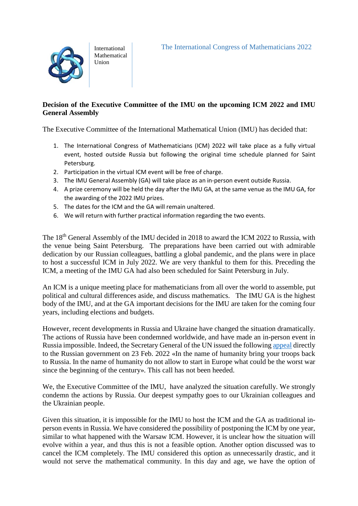International Mathematical Union

## **Decision of the Executive Committee of the IMU on the upcoming ICM 2022 and IMU General Assembly**

The Executive Committee of the International Mathematical Union (IMU) has decided that:

- 1. The International Congress of Mathematicians (ICM) 2022 will take place as a fully virtual event, hosted outside Russia but following the original time schedule planned for Saint Petersburg.
- 2. Participation in the virtual ICM event will be free of charge.
- 3. The IMU General Assembly (GA) will take place as an in-person event outside Russia.
- 4. A prize ceremony will be held the day after the IMU GA, at the same venue as the IMU GA, for the awarding of the 2022 IMU prizes.
- 5. The dates for the ICM and the GA will remain unaltered.
- 6. We will return with further practical information regarding the two events.

The 18th General Assembly of the IMU decided in 2018 to award the ICM 2022 to Russia, with the venue being Saint Petersburg. The preparations have been carried out with admirable dedication by our Russian colleagues, battling a global pandemic, and the plans were in place to host a successful ICM in July 2022. We are very thankful to them for this. Preceding the ICM, a meeting of the IMU GA had also been scheduled for Saint Petersburg in July.

An ICM is a unique meeting place for mathematicians from all over the world to assemble, put political and cultural differences aside, and discuss mathematics. The IMU GA is the highest body of the IMU, and at the GA important decisions for the IMU are taken for the coming four years, including elections and budgets.

However, recent developments in Russia and Ukraine have changed the situation dramatically. The actions of Russia have been condemned worldwide, and have made an in-person event in Russia impossible. Indeed, the Secretary General of the UN issued the following [appeal](https://www.un.org/sg/en/node/262040) directly to the Russian government on 23 Feb. 2022 «In the name of humanity bring your troops back to Russia. In the name of humanity do not allow to start in Europe what could be the worst war since the beginning of the century». This call has not been heeded.

We, the Executive Committee of the IMU, have analyzed the situation carefully. We strongly condemn the actions by Russia. Our deepest sympathy goes to our Ukrainian colleagues and the Ukrainian people.

Given this situation, it is impossible for the IMU to host the ICM and the GA as traditional inperson events in Russia. We have considered the possibility of postponing the ICM by one year, similar to what happened with the Warsaw ICM. However, it is unclear how the situation will evolve within a year, and thus this is not a feasible option. Another option discussed was to cancel the ICM completely. The IMU considered this option as unnecessarily drastic, and it would not serve the mathematical community. In this day and age, we have the option of